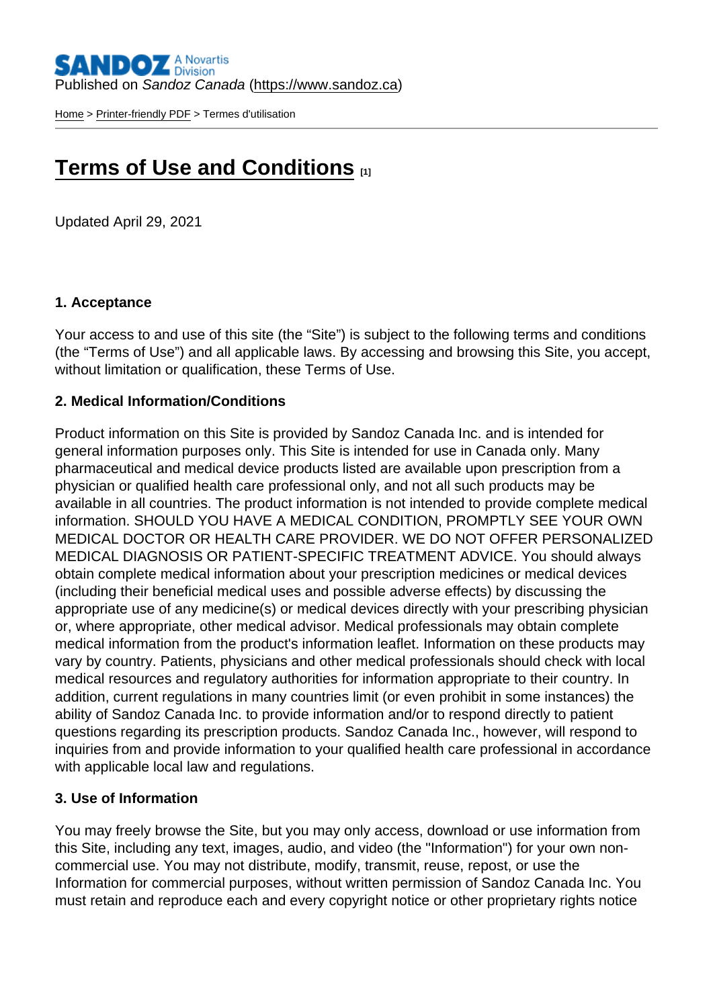[Home](https://www.sandoz.ca/en) > [Printer-friendly PDF](https://www.sandoz.ca/en/printpdf) > Termes d'utilisation

# [Terms of Use and Conditions](https://www.sandoz.ca/en/terms-use-and-conditions)  $_{[1]}$

Updated April 29, 2021

#### 1. Acceptance

Your access to and use of this site (the "Site") is subject to the following terms and conditions (the "Terms of Use") and all applicable laws. By accessing and browsing this Site, you accept, without limitation or qualification, these Terms of Use.

#### 2. Medical Information/Conditions

Product information on this Site is provided by Sandoz Canada Inc. and is intended for general information purposes only. This Site is intended for use in Canada only. Many pharmaceutical and medical device products listed are available upon prescription from a physician or qualified health care professional only, and not all such products may be available in all countries. The product information is not intended to provide complete medical information. SHOULD YOU HAVE A MEDICAL CONDITION, PROMPTLY SEE YOUR OWN MEDICAL DOCTOR OR HEALTH CARE PROVIDER. WE DO NOT OFFER PERSONALIZED MEDICAL DIAGNOSIS OR PATIENT-SPECIFIC TREATMENT ADVICE. You should always obtain complete medical information about your prescription medicines or medical devices (including their beneficial medical uses and possible adverse effects) by discussing the appropriate use of any medicine(s) or medical devices directly with your prescribing physician or, where appropriate, other medical advisor. Medical professionals may obtain complete medical information from the product's information leaflet. Information on these products may vary by country. Patients, physicians and other medical professionals should check with local medical resources and regulatory authorities for information appropriate to their country. In addition, current regulations in many countries limit (or even prohibit in some instances) the ability of Sandoz Canada Inc. to provide information and/or to respond directly to patient questions regarding its prescription products. Sandoz Canada Inc., however, will respond to inquiries from and provide information to your qualified health care professional in accordance with applicable local law and regulations.

#### 3. Use of Information

You may freely browse the Site, but you may only access, download or use information from this Site, including any text, images, audio, and video (the "Information") for your own noncommercial use. You may not distribute, modify, transmit, reuse, repost, or use the Information for commercial purposes, without written permission of Sandoz Canada Inc. You must retain and reproduce each and every copyright notice or other proprietary rights notice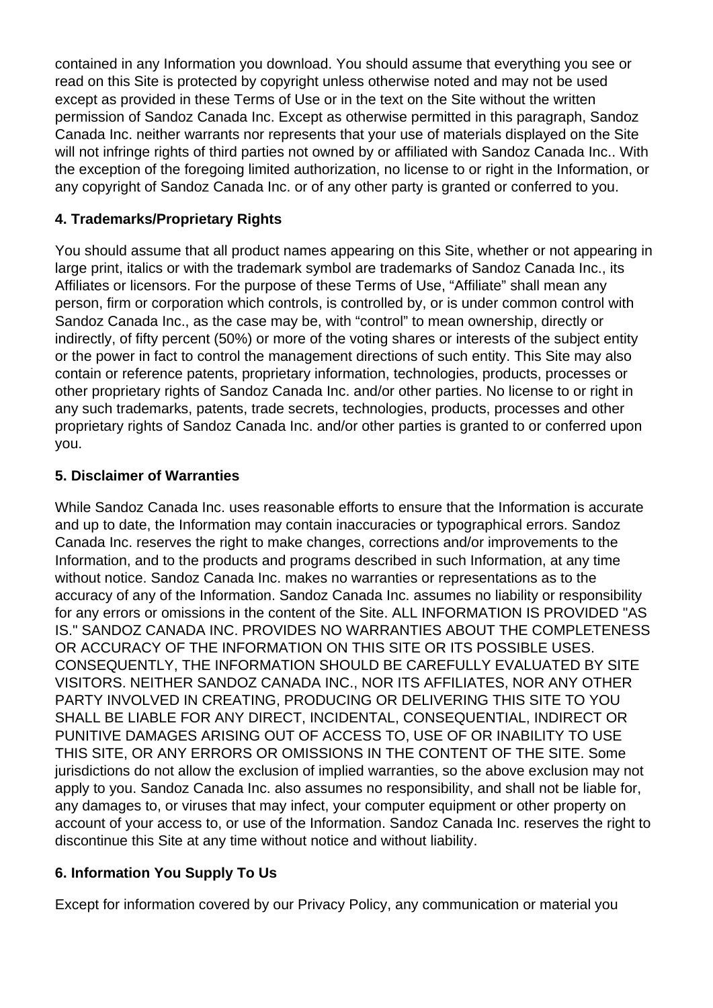contained in any Information you download. You should assume that everything you see or read on this Site is protected by copyright unless otherwise noted and may not be used except as provided in these Terms of Use or in the text on the Site without the written permission of Sandoz Canada Inc. Except as otherwise permitted in this paragraph, Sandoz Canada Inc. neither warrants nor represents that your use of materials displayed on the Site will not infringe rights of third parties not owned by or affiliated with Sandoz Canada Inc.. With the exception of the foregoing limited authorization, no license to or right in the Information, or any copyright of Sandoz Canada Inc. or of any other party is granted or conferred to you.

# **4. Trademarks/Proprietary Rights**

You should assume that all product names appearing on this Site, whether or not appearing in large print, italics or with the trademark symbol are trademarks of Sandoz Canada Inc., its Affiliates or licensors. For the purpose of these Terms of Use, "Affiliate" shall mean any person, firm or corporation which controls, is controlled by, or is under common control with Sandoz Canada Inc., as the case may be, with "control" to mean ownership, directly or indirectly, of fifty percent (50%) or more of the voting shares or interests of the subject entity or the power in fact to control the management directions of such entity. This Site may also contain or reference patents, proprietary information, technologies, products, processes or other proprietary rights of Sandoz Canada Inc. and/or other parties. No license to or right in any such trademarks, patents, trade secrets, technologies, products, processes and other proprietary rights of Sandoz Canada Inc. and/or other parties is granted to or conferred upon you.

# **5. Disclaimer of Warranties**

While Sandoz Canada Inc. uses reasonable efforts to ensure that the Information is accurate and up to date, the Information may contain inaccuracies or typographical errors. Sandoz Canada Inc. reserves the right to make changes, corrections and/or improvements to the Information, and to the products and programs described in such Information, at any time without notice. Sandoz Canada Inc. makes no warranties or representations as to the accuracy of any of the Information. Sandoz Canada Inc. assumes no liability or responsibility for any errors or omissions in the content of the Site. ALL INFORMATION IS PROVIDED "AS IS." SANDOZ CANADA INC. PROVIDES NO WARRANTIES ABOUT THE COMPLETENESS OR ACCURACY OF THE INFORMATION ON THIS SITE OR ITS POSSIBLE USES. CONSEQUENTLY, THE INFORMATION SHOULD BE CAREFULLY EVALUATED BY SITE VISITORS. NEITHER SANDOZ CANADA INC., NOR ITS AFFILIATES, NOR ANY OTHER PARTY INVOLVED IN CREATING, PRODUCING OR DELIVERING THIS SITE TO YOU SHALL BE LIABLE FOR ANY DIRECT, INCIDENTAL, CONSEQUENTIAL, INDIRECT OR PUNITIVE DAMAGES ARISING OUT OF ACCESS TO, USE OF OR INABILITY TO USE THIS SITE, OR ANY ERRORS OR OMISSIONS IN THE CONTENT OF THE SITE. Some jurisdictions do not allow the exclusion of implied warranties, so the above exclusion may not apply to you. Sandoz Canada Inc. also assumes no responsibility, and shall not be liable for, any damages to, or viruses that may infect, your computer equipment or other property on account of your access to, or use of the Information. Sandoz Canada Inc. reserves the right to discontinue this Site at any time without notice and without liability.

# **6. Information You Supply To Us**

Except for information covered by our Privacy Policy, any communication or material you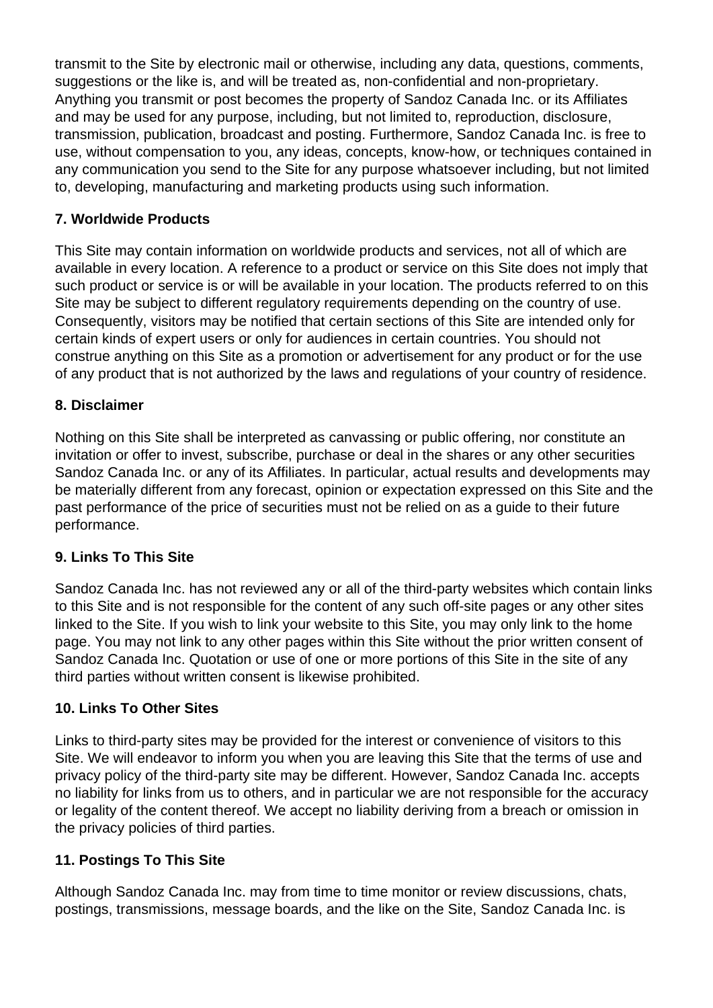transmit to the Site by electronic mail or otherwise, including any data, questions, comments, suggestions or the like is, and will be treated as, non-confidential and non-proprietary. Anything you transmit or post becomes the property of Sandoz Canada Inc. or its Affiliates and may be used for any purpose, including, but not limited to, reproduction, disclosure, transmission, publication, broadcast and posting. Furthermore, Sandoz Canada Inc. is free to use, without compensation to you, any ideas, concepts, know-how, or techniques contained in any communication you send to the Site for any purpose whatsoever including, but not limited to, developing, manufacturing and marketing products using such information.

# **7. Worldwide Products**

This Site may contain information on worldwide products and services, not all of which are available in every location. A reference to a product or service on this Site does not imply that such product or service is or will be available in your location. The products referred to on this Site may be subject to different regulatory requirements depending on the country of use. Consequently, visitors may be notified that certain sections of this Site are intended only for certain kinds of expert users or only for audiences in certain countries. You should not construe anything on this Site as a promotion or advertisement for any product or for the use of any product that is not authorized by the laws and regulations of your country of residence.

# **8. Disclaimer**

Nothing on this Site shall be interpreted as canvassing or public offering, nor constitute an invitation or offer to invest, subscribe, purchase or deal in the shares or any other securities Sandoz Canada Inc. or any of its Affiliates. In particular, actual results and developments may be materially different from any forecast, opinion or expectation expressed on this Site and the past performance of the price of securities must not be relied on as a guide to their future performance.

## **9. Links To This Site**

Sandoz Canada Inc. has not reviewed any or all of the third-party websites which contain links to this Site and is not responsible for the content of any such off-site pages or any other sites linked to the Site. If you wish to link your website to this Site, you may only link to the home page. You may not link to any other pages within this Site without the prior written consent of Sandoz Canada Inc. Quotation or use of one or more portions of this Site in the site of any third parties without written consent is likewise prohibited.

## **10. Links To Other Sites**

Links to third-party sites may be provided for the interest or convenience of visitors to this Site. We will endeavor to inform you when you are leaving this Site that the terms of use and privacy policy of the third-party site may be different. However, Sandoz Canada Inc. accepts no liability for links from us to others, and in particular we are not responsible for the accuracy or legality of the content thereof. We accept no liability deriving from a breach or omission in the privacy policies of third parties.

## **11. Postings To This Site**

Although Sandoz Canada Inc. may from time to time monitor or review discussions, chats, postings, transmissions, message boards, and the like on the Site, Sandoz Canada Inc. is